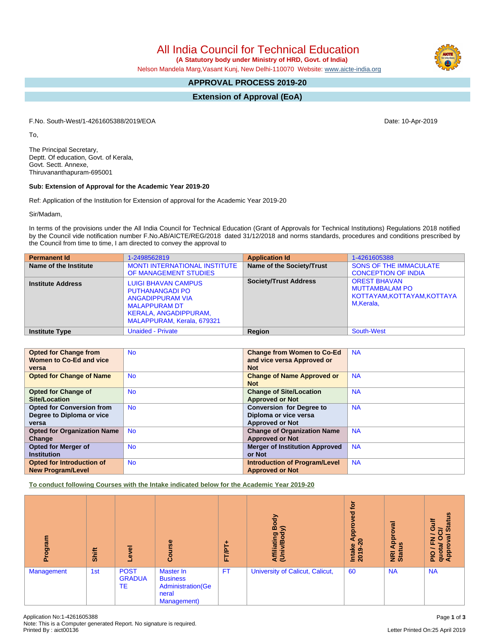All India Council for Technical Education  **(A Statutory body under Ministry of HRD, Govt. of India)**

Nelson Mandela Marg,Vasant Kunj, New Delhi-110070 Website: [www.aicte-india.org](http://www.aicte-india.org)

# **APPROVAL PROCESS 2019-20**

**Extension of Approval (EoA)**

F.No. South-West/1-4261605388/2019/EOA Date: 10-Apr-2019

To,

The Principal Secretary, Deptt. Of education, Govt. of Kerala, Govt. Sectt. Annexe, Thiruvananthapuram-695001

## **Sub: Extension of Approval for the Academic Year 2019-20**

Ref: Application of the Institution for Extension of approval for the Academic Year 2019-20

Sir/Madam,

In terms of the provisions under the All India Council for Technical Education (Grant of Approvals for Technical Institutions) Regulations 2018 notified by the Council vide notification number F.No.AB/AICTE/REG/2018 dated 31/12/2018 and norms standards, procedures and conditions prescribed by the Council from time to time, I am directed to convey the approval to

| <b>Permanent Id</b>      | 1-2498562819                                                                                                                                                   | <b>Application Id</b>        | 1-4261605388                                                                             |
|--------------------------|----------------------------------------------------------------------------------------------------------------------------------------------------------------|------------------------------|------------------------------------------------------------------------------------------|
| Name of the Institute    | <b>MONTI INTERNATIONAL INSTITUTE</b><br>OF MANAGEMENT STUDIES                                                                                                  | Name of the Society/Trust    | <b>SONS OF THE IMMACULATE</b><br><b>CONCEPTION OF INDIA</b>                              |
| <b>Institute Address</b> | <b>LUIGI BHAVAN CAMPUS</b><br><b>PUTHANANGADI PO</b><br>ANGADIPPURAM VIA<br><b>MALAPPURAM DT</b><br><b>KERALA, ANGADIPPURAM,</b><br>MALAPPURAM, Kerala, 679321 | <b>Society/Trust Address</b> | <b>OREST BHAVAN</b><br><b>MUTTAMBALAM PO</b><br>KOTTAYAM, KOTTAYAM, KOTTAYA<br>M,Kerala, |
| <b>Institute Type</b>    | <b>Unaided - Private</b>                                                                                                                                       | <b>Region</b>                | <b>South-West</b>                                                                        |

| <b>Opted for Change from</b>       | <b>No</b> | <b>Change from Women to Co-Ed</b>     | <b>NA</b> |
|------------------------------------|-----------|---------------------------------------|-----------|
| Women to Co-Ed and vice            |           | and vice versa Approved or            |           |
| versa                              |           | <b>Not</b>                            |           |
| <b>Opted for Change of Name</b>    | <b>No</b> | <b>Change of Name Approved or</b>     | <b>NA</b> |
|                                    |           | <b>Not</b>                            |           |
| <b>Opted for Change of</b>         | <b>No</b> | <b>Change of Site/Location</b>        | <b>NA</b> |
| <b>Site/Location</b>               |           | <b>Approved or Not</b>                |           |
| <b>Opted for Conversion from</b>   | <b>No</b> | <b>Conversion for Degree to</b>       | <b>NA</b> |
| Degree to Diploma or vice          |           | Diploma or vice versa                 |           |
| versa                              |           | <b>Approved or Not</b>                |           |
| <b>Opted for Organization Name</b> | <b>No</b> | <b>Change of Organization Name</b>    | <b>NA</b> |
| Change                             |           | <b>Approved or Not</b>                |           |
| <b>Opted for Merger of</b>         | <b>No</b> | <b>Merger of Institution Approved</b> | <b>NA</b> |
| <b>Institution</b>                 |           | or Not                                |           |
| Opted for Introduction of          | <b>No</b> | <b>Introduction of Program/Level</b>  | <b>NA</b> |
| <b>New Program/Level</b>           |           | <b>Approved or Not</b>                |           |

**To conduct following Courses with the Intake indicated below for the Academic Year 2019-20**

| Program    | Shift | Level                                     | Course                                                                            | FT/PT+    | Body<br>$\widehat{\ge}$<br>Affiliating<br>(Univ/Bod <sub>)</sub> | tor<br>$\overline{e}$<br>Approv<br>$\boldsymbol{20}$<br><b>Intake</b><br>2019-2 | ह<br><b>Appro</b><br>Sn<br><b>NE</b><br>Stat | <b>Status</b><br><b>Jin</b><br>වි<br>w<br>준<br>0<br>quota/<br>Approv<br>$\frac{1}{2}$ |
|------------|-------|-------------------------------------------|-----------------------------------------------------------------------------------|-----------|------------------------------------------------------------------|---------------------------------------------------------------------------------|----------------------------------------------|---------------------------------------------------------------------------------------|
| Management | 1st   | <b>POST</b><br><b>GRADUA</b><br><b>TE</b> | Master In<br><b>Business</b><br><b>Administration</b> (Ge<br>neral<br>Management) | <b>FT</b> | University of Calicut, Calicut,                                  | 60                                                                              | <b>NA</b>                                    | <b>NA</b>                                                                             |

Letter Printed On:25 April 2019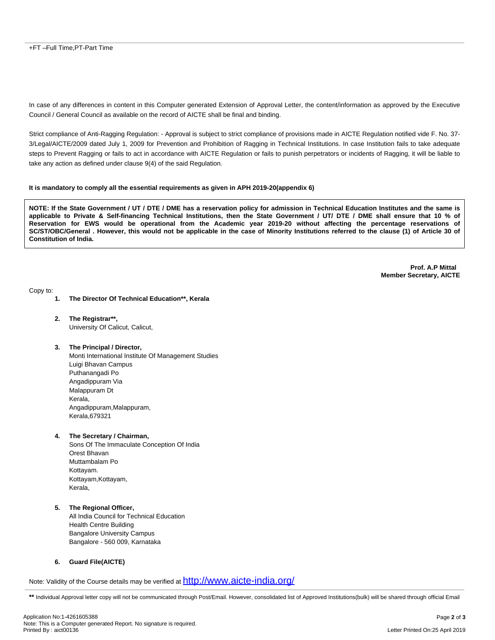In case of any differences in content in this Computer generated Extension of Approval Letter, the content/information as approved by the Executive Council / General Council as available on the record of AICTE shall be final and binding.

Strict compliance of Anti-Ragging Regulation: - Approval is subject to strict compliance of provisions made in AICTE Regulation notified vide F. No. 37- 3/Legal/AICTE/2009 dated July 1, 2009 for Prevention and Prohibition of Ragging in Technical Institutions. In case Institution fails to take adequate steps to Prevent Ragging or fails to act in accordance with AICTE Regulation or fails to punish perpetrators or incidents of Ragging, it will be liable to take any action as defined under clause 9(4) of the said Regulation.

### **It is mandatory to comply all the essential requirements as given in APH 2019-20(appendix 6)**

NOTE: If the State Government / UT / DTE / DME has a reservation policy for admission in Technical Education Institutes and the same is applicable to Private & Self-financing Technical Institutions, then the State Government / UT/ DTE / DME shall ensure that 10 % of Reservation for EWS would be operational from the Academic year 2019-20 without affecting the percentage reservations of SC/ST/OBC/General . However, this would not be applicable in the case of Minority Institutions referred to the clause (1) of Article 30 of **Constitution of India.**

> **Prof. A.P Mittal Member Secretary, AICTE**

Copy to:

- **1. The Director Of Technical Education\*\*, Kerala**
- **2. The Registrar\*\*,** University Of Calicut, Calicut,
- **3. The Principal / Director,**

Monti International Institute Of Management Studies Luigi Bhavan Campus Puthanangadi Po Angadippuram Via Malappuram Dt Kerala, Angadippuram, Malappuram, Kerala,679321

**4. The Secretary / Chairman,**

Sons Of The Immaculate Conception Of India Orest Bhavan Muttambalam Po Kottayam. Kottayam,Kottayam, Kerala,

**5. The Regional Officer,** All India Council for Technical Education Health Centre Building Bangalore University Campus Bangalore - 560 009, Karnataka

## **6. Guard File(AICTE)**

Note: Validity of the Course details may be verified at  $\frac{\text{http://www.aicte-india.org/}}{\text{http://www.aicte-india.org/}}$  $\frac{\text{http://www.aicte-india.org/}}{\text{http://www.aicte-india.org/}}$  $\frac{\text{http://www.aicte-india.org/}}{\text{http://www.aicte-india.org/}}$ 

\*\* Individual Approval letter copy will not be communicated through Post/Email. However, consolidated list of Approved Institutions(bulk) will be shared through official Email